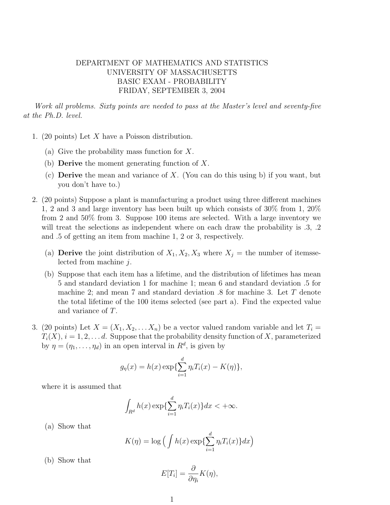## DEPARTMENT OF MATHEMATICS AND STATISTICS UNIVERSITY OF MASSACHUSETTS BASIC EXAM - PROBABILITY FRIDAY, SEPTEMBER 3, 2004

Work all problems. Sixty points are needed to pass at the Master's level and seventy-five at the Ph.D. level.

- 1. (20 points) Let X have a Poisson distribution.
	- (a) Give the probability mass function for X.
	- (b) **Derive** the moment generating function of  $X$ .
	- (c) **Derive** the mean and variance of X. (You can do this using b) if you want, but you don't have to.)
- 2. (20 points) Suppose a plant is manufacturing a product using three different machines 1, 2 and 3 and large inventory has been built up which consists of 30% from 1, 20% from 2 and 50% from 3. Suppose 100 items are selected. With a large inventory we will treat the selections as independent where on each draw the probability is .3, .2 and .5 of getting an item from machine 1, 2 or 3, respectively.
	- (a) **Derive** the joint distribution of  $X_1, X_2, X_3$  where  $X_i$  = the number of itemsselected from machine j.
	- (b) Suppose that each item has a lifetime, and the distribution of lifetimes has mean 5 and standard deviation 1 for machine 1; mean 6 and standard deviation .5 for machine 2; and mean 7 and standard deviation .8 for machine 3. Let T denote the total lifetime of the 100 items selected (see part a). Find the expected value and variance of T.
- 3. (20 points) Let  $X = (X_1, X_2, \ldots, X_n)$  be a vector valued random variable and let  $T_i =$  $T_i(X)$ ,  $i = 1, 2, \ldots d$ . Suppose that the probability density function of X, parameterized by  $\eta = (\eta_1, \dots, \eta_d)$  in an open interval in  $R^d$ , is given by

$$
g_{\eta}(x) = h(x) \exp{\{\sum_{i=1}^{d} \eta_i T_i(x) - K(\eta)\}},
$$

where it is assumed that

$$
\int_{R^d} h(x) \exp\{\sum_{i=1}^d \eta_i T_i(x)\} dx < +\infty.
$$

(a) Show that

$$
K(\eta) = \log \left( \int h(x) \exp\{\sum_{i=1}^{d} \eta_i T_i(x)\} dx \right)
$$

(b) Show that

$$
E[T_i] = \frac{\partial}{\partial \eta_i} K(\eta),
$$